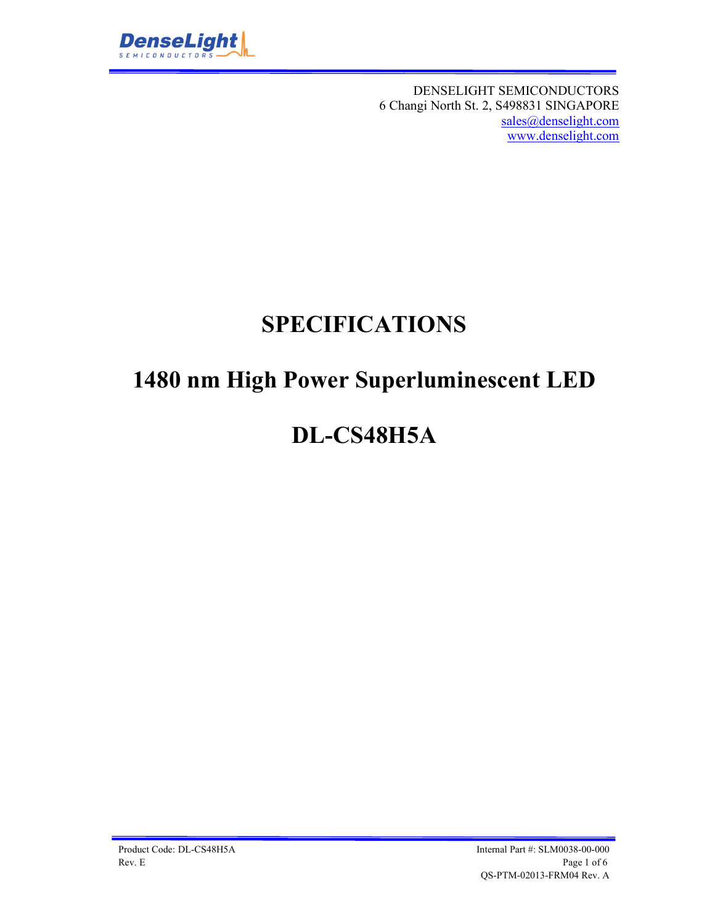

DENSELIGHT SEMICONDUCTORS 6 Changi North St. 2, S498831 SINGAPORE sales@denselight.com www.denselight.com

# **SPECIFICATIONS**

# **1480 nm High Power Superluminescent LED**

# **DL-CS48H5A**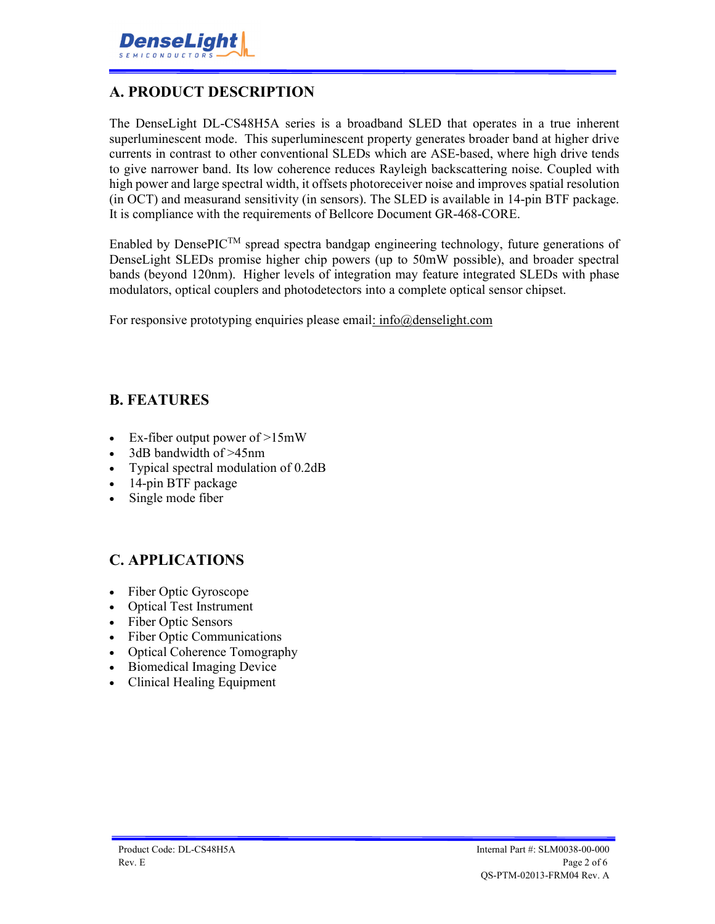## **A. PRODUCT DESCRIPTION**

The DenseLight DL-CS48H5A series is a broadband SLED that operates in a true inherent superluminescent mode. This superluminescent property generates broader band at higher drive currents in contrast to other conventional SLEDs which are ASE-based, where high drive tends to give narrower band. Its low coherence reduces Rayleigh backscattering noise. Coupled with high power and large spectral width, it offsets photoreceiver noise and improves spatial resolution (in OCT) and measurand sensitivity (in sensors). The SLED is available in 14-pin BTF package. It is compliance with the requirements of Bellcore Document GR-468-CORE.

Enabled by DensePIC<sup>TM</sup> spread spectra bandgap engineering technology, future generations of DenseLight SLEDs promise higher chip powers (up to 50mW possible), and broader spectral bands (beyond 120nm). Higher levels of integration may feature integrated SLEDs with phase modulators, optical couplers and photodetectors into a complete optical sensor chipset.

For responsive prototyping enquiries please email: info@denselight.com

### **B. FEATURES**

- Ex-fiber output power of  $>15$ mW
- 3dB bandwidth of >45nm
- Typical spectral modulation of 0.2dB
- 14-pin BTF package
- Single mode fiber

### **C. APPLICATIONS**

- Fiber Optic Gyroscope
- Optical Test Instrument
- Fiber Optic Sensors
- Fiber Optic Communications
- Optical Coherence Tomography
- Biomedical Imaging Device
- Clinical Healing Equipment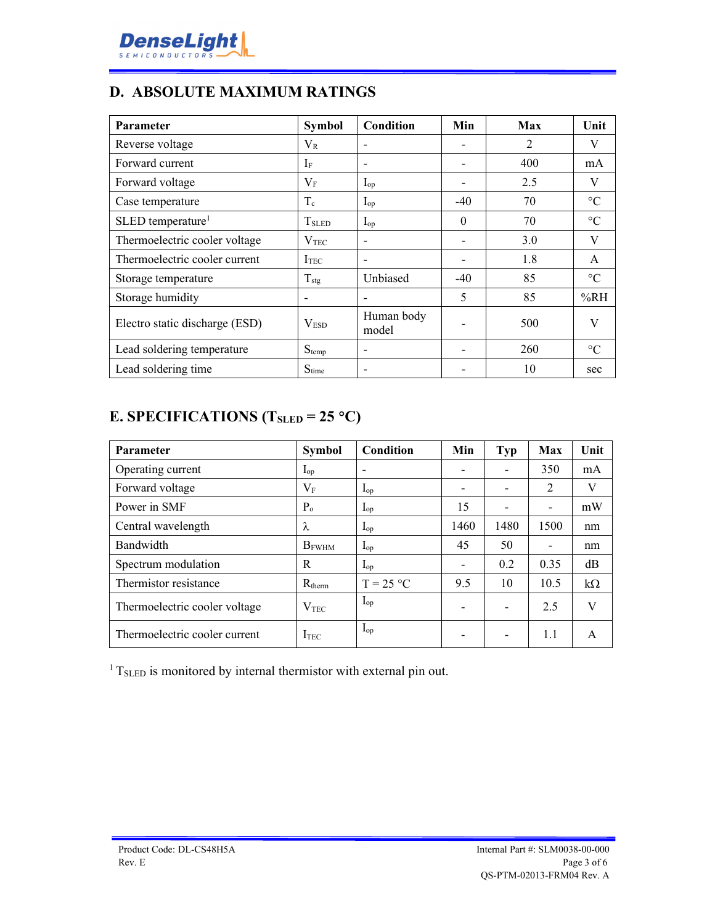

# **D. ABSOLUTE MAXIMUM RATINGS**

| <b>Parameter</b>                | <b>Symbol</b>     | Condition                | Min      | Max | Unit            |
|---------------------------------|-------------------|--------------------------|----------|-----|-----------------|
| Reverse voltage                 | $\rm V_R$         | $\overline{\phantom{a}}$ |          | 2   | V               |
| Forward current                 | $I_F$             |                          |          | 400 | mA              |
| Forward voltage                 | $\rm V_F$         | $I_{op}$                 |          | 2.5 | V               |
| Case temperature                | $T_c$             | $I_{op}$                 | $-40$    | 70  | $\rm ^{\circ}C$ |
| $SLED$ temperature <sup>1</sup> | T <sub>SLED</sub> | $I_{op}$                 | $\theta$ | 70  | $\rm ^{\circ}C$ |
| Thermoelectric cooler voltage   | $\rm V_{TEC}$     |                          |          | 3.0 | V               |
| Thermoelectric cooler current   | I <sub>TEC</sub>  |                          |          | 1.8 | A               |
| Storage temperature             | $T_{\text{stg}}$  | Unbiased                 | $-40$    | 85  | $\rm ^{\circ}C$ |
| Storage humidity                |                   |                          | 5        | 85  | %RH             |
| Electro static discharge (ESD)  | V <sub>ESD</sub>  | Human body<br>model      |          | 500 | V               |
| Lead soldering temperature      | $S_{temp}$        |                          |          | 260 | $\rm ^{\circ}C$ |
| Lead soldering time             | $S_{time}$        |                          |          | 10  | sec             |

## **E. SPECIFICATIONS (TSLED = 25 C)**

| <b>Parameter</b>              | <b>Symbol</b>    | Condition         | Min                      | <b>Typ</b> | <b>Max</b>               | Unit      |
|-------------------------------|------------------|-------------------|--------------------------|------------|--------------------------|-----------|
| Operating current             | $I_{op}$         |                   | $\overline{\phantom{0}}$ |            | 350                      | mA        |
| Forward voltage               | $V_{\rm F}$      | $I_{op}$          | $\overline{\phantom{a}}$ |            | $\overline{2}$           | V         |
| Power in SMF                  | $P_{o}$          | $I_{op}$          | 15                       |            | $\overline{\phantom{a}}$ | mW        |
| Central wavelength            | λ                | $I_{op}$          | 1460                     | 1480       | 1500                     | nm        |
| Bandwidth                     | <b>B</b> FWHM    | $I_{op}$          | 45                       | 50         | $\overline{\phantom{a}}$ | nm        |
| Spectrum modulation           | R                | $I_{op}$          | $\overline{\phantom{a}}$ | 0.2        | 0.35                     | dB        |
| Thermistor resistance         | $R_{therm}$      | $T = 25 °C$       | 9.5                      | 10         | 10.5                     | $k\Omega$ |
| Thermoelectric cooler voltage | V <sub>TEC</sub> | $I_{op}$          | $\overline{\phantom{a}}$ |            | 2.5                      | V         |
| Thermoelectric cooler current | $\rm I_{TEC}$    | $\mathbf{I}_{op}$ | $\overline{\phantom{0}}$ |            | 1.1                      | A         |

 $1$ <sup>1</sup> T<sub>SLED</sub> is monitored by internal thermistor with external pin out.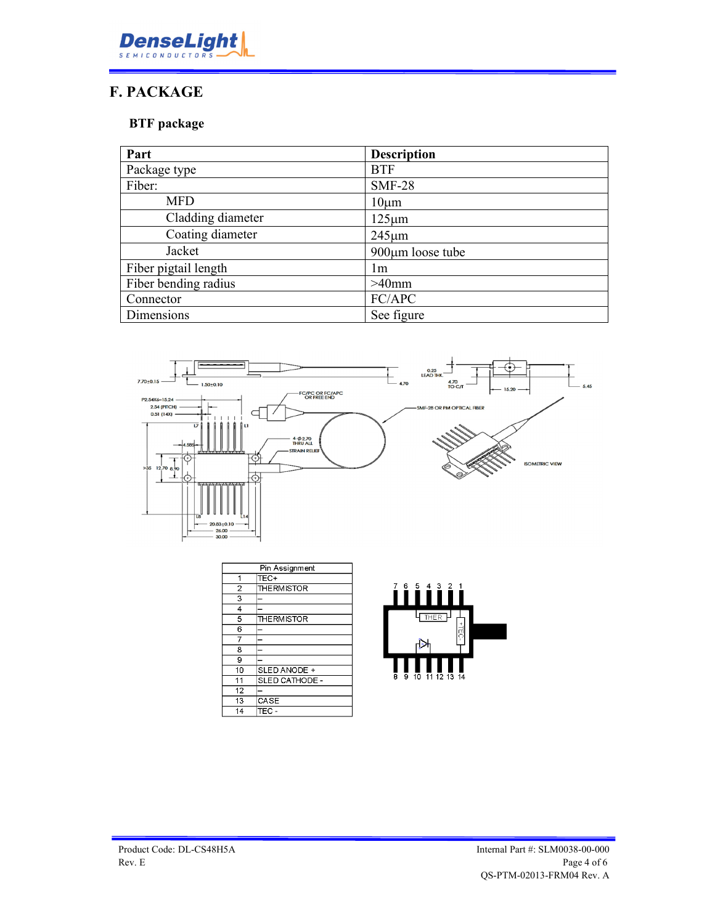

## **F. PACKAGE**

### **BTF package**

| Part                 | <b>Description</b>     |
|----------------------|------------------------|
| Package type         | <b>BTF</b>             |
| Fiber:               | <b>SMF-28</b>          |
| <b>MFD</b>           | $10 \mu m$             |
| Cladding diameter    | $125 \mu m$            |
| Coating diameter     | $245 \mu m$            |
| Jacket               | $900 \mu m$ loose tube |
| Fiber pigtail length | lm                     |
| Fiber bending radius | $>40$ mm               |
| Connector            | FC/APC                 |
| Dimensions           | See figure             |



| Pin Assignment |                    |  |
|----------------|--------------------|--|
| 1              | TEC+               |  |
| $\overline{2}$ | <b>THE RMISTOR</b> |  |
| 3              |                    |  |
| 4              |                    |  |
| 5              | <b>THE RMISTOR</b> |  |
| 6              |                    |  |
| 7              |                    |  |
| 8              |                    |  |
| 9              |                    |  |
| 10             | SLED ANODE +       |  |
| 11             | SLED CATHODE -     |  |
| 12             |                    |  |
| 13             | CASE               |  |
| 14             | TEC -              |  |

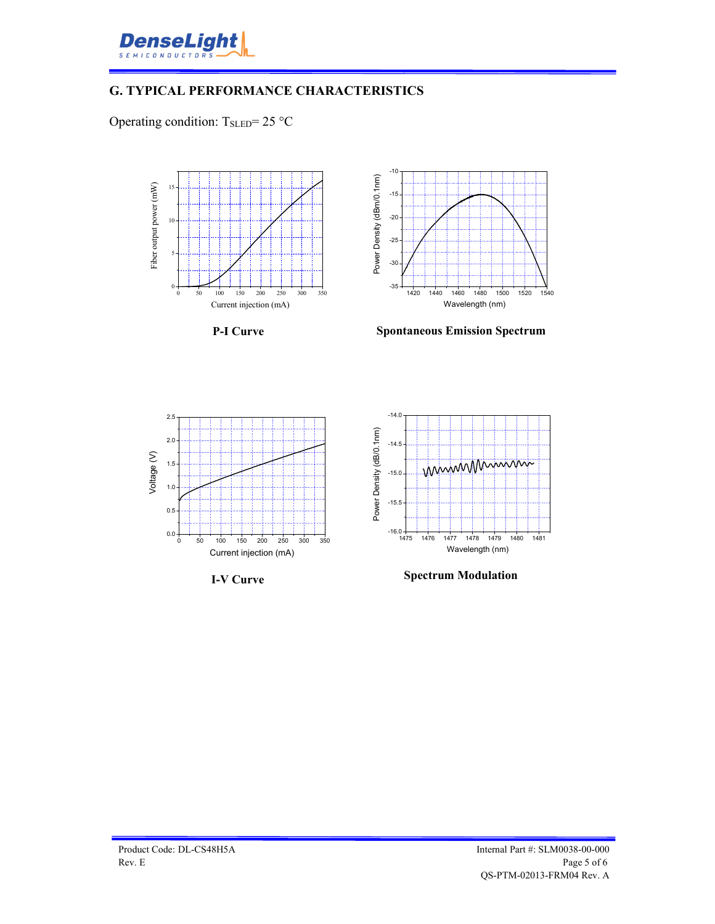

#### **G. TYPICAL PERFORMANCE CHARACTERISTICS**

Operating condition:  $T_{\text{SLED}} = 25 \text{ °C}$ 



**P-I Curve**



**Spontaneous Emission Spectrum**







**Spectrum Modulation**